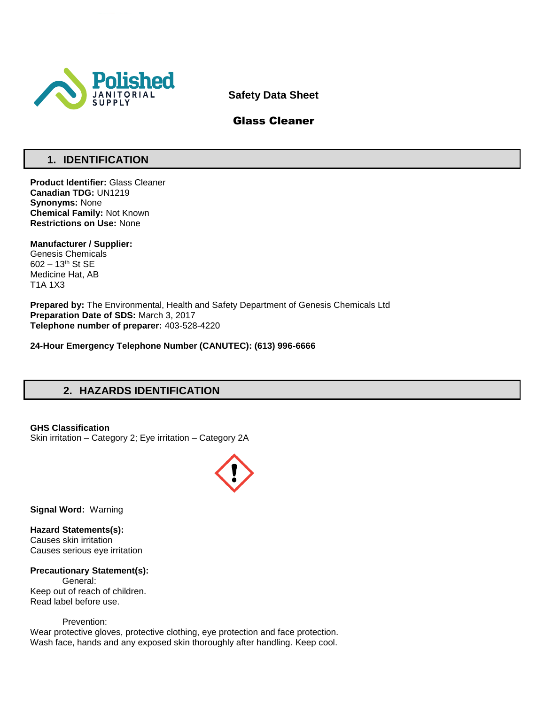

**Safety Data Sheet**

## Glass Cleaner

# **1. IDENTIFICATION**

**Product Identifier:** Glass Cleaner **Canadian TDG:** UN1219 **Synonyms:** None **Chemical Family:** Not Known **Restrictions on Use:** None

**Manufacturer / Supplier:** Genesis Chemicals 602 – 13th St SE Medicine Hat, AB T1A 1X3

**Prepared by:** The Environmental, Health and Safety Department of Genesis Chemicals Ltd **Preparation Date of SDS:** March 3, 2017 **Telephone number of preparer:** 403-528-4220

**24-Hour Emergency Telephone Number (CANUTEC): (613) 996-6666**

# **2. HAZARDS IDENTIFICATION**

## **GHS Classification**

Skin irritation – Category 2; Eye irritation – Category 2A



**Signal Word:** Warning

**Hazard Statements(s):** Causes skin irritation Causes serious eye irritation

## **Precautionary Statement(s):**

General: Keep out of reach of children. Read label before use.

Prevention:

Wear protective gloves, protective clothing, eye protection and face protection. Wash face, hands and any exposed skin thoroughly after handling. Keep cool.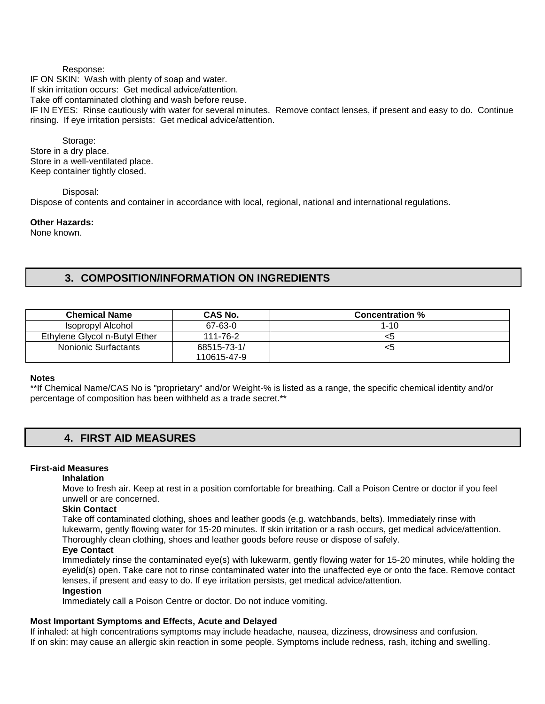#### Response:

IF ON SKIN: Wash with plenty of soap and water.

If skin irritation occurs: Get medical advice/attention.

Take off contaminated clothing and wash before reuse.

IF IN EYES: Rinse cautiously with water for several minutes. Remove contact lenses, if present and easy to do. Continue rinsing. If eye irritation persists: Get medical advice/attention.

Storage: Store in a dry place. Store in a well-ventilated place. Keep container tightly closed.

Disposal: Dispose of contents and container in accordance with local, regional, national and international regulations.

**Other Hazards:**

None known.

## **3. COMPOSITION/INFORMATION ON INGREDIENTS**

| <b>Chemical Name</b>          | CAS No.     | <b>Concentration %</b> |
|-------------------------------|-------------|------------------------|
| Isopropyl Alcohol             | 67-63-0     | $1 - 10$               |
| Ethylene Glycol n-Butyl Ether | 111-76-2    | <5                     |
| Nonionic Surfactants          | 68515-73-1/ | <5                     |
|                               | 110615-47-9 |                        |

## **Notes**

\*\*If Chemical Name/CAS No is "proprietary" and/or Weight-% is listed as a range, the specific chemical identity and/or percentage of composition has been withheld as a trade secret.\*\*

## **4. FIRST AID MEASURES**

## **First-aid Measures**

**Inhalation** 

Move to fresh air. Keep at rest in a position comfortable for breathing. Call a Poison Centre or doctor if you feel unwell or are concerned.

## **Skin Contact**

Take off contaminated clothing, shoes and leather goods (e.g. watchbands, belts). Immediately rinse with lukewarm, gently flowing water for 15-20 minutes. If skin irritation or a rash occurs, get medical advice/attention. Thoroughly clean clothing, shoes and leather goods before reuse or dispose of safely.

## **Eye Contact**

Immediately rinse the contaminated eye(s) with lukewarm, gently flowing water for 15-20 minutes, while holding the eyelid(s) open. Take care not to rinse contaminated water into the unaffected eye or onto the face. Remove contact lenses, if present and easy to do. If eye irritation persists, get medical advice/attention.

## **Ingestion**

Immediately call a Poison Centre or doctor. Do not induce vomiting.

## **Most Important Symptoms and Effects, Acute and Delayed**

If inhaled: at high concentrations symptoms may include headache, nausea, dizziness, drowsiness and confusion. If on skin: may cause an allergic skin reaction in some people. Symptoms include redness, rash, itching and swelling.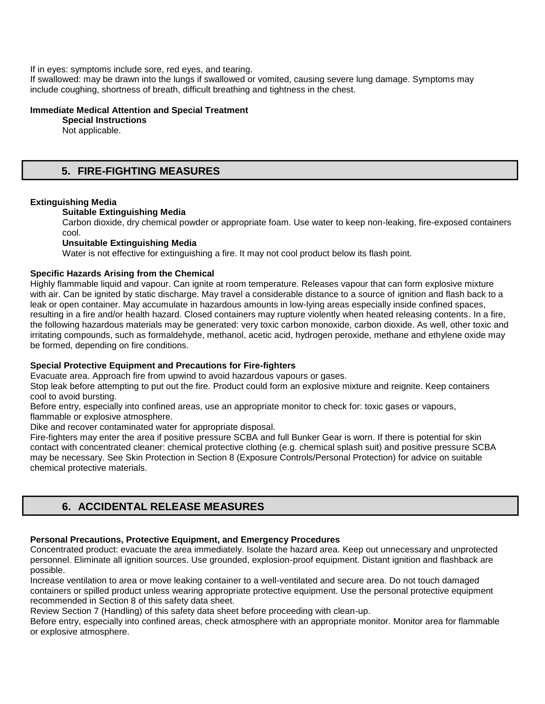If in eyes: symptoms include sore, red eyes, and tearing.

If swallowed: may be drawn into the lungs if swallowed or vomited, causing severe lung damage. Symptoms may include coughing, shortness of breath, difficult breathing and tightness in the chest.

#### **Immediate Medical Attention and Special Treatment**

**Special Instructions** 

Not applicable.

## **5. FIRE-FIGHTING MEASURES**

## **Extinguishing Media**

## **Suitable Extinguishing Media**

Carbon dioxide, dry chemical powder or appropriate foam. Use water to keep non-leaking, fire-exposed containers cool.

## **Unsuitable Extinguishing Media**

Water is not effective for extinguishing a fire. It may not cool product below its flash point.

## **Specific Hazards Arising from the Chemical**

Highly flammable liquid and vapour. Can ignite at room temperature. Releases vapour that can form explosive mixture with air. Can be ignited by static discharge. May travel a considerable distance to a source of ignition and flash back to a leak or open container. May accumulate in hazardous amounts in low-lying areas especially inside confined spaces, resulting in a fire and/or health hazard. Closed containers may rupture violently when heated releasing contents. In a fire, the following hazardous materials may be generated: very toxic carbon monoxide, carbon dioxide. As well, other toxic and irritating compounds, such as formaldehyde, methanol, acetic acid, hydrogen peroxide, methane and ethylene oxide may be formed, depending on fire conditions.

## **Special Protective Equipment and Precautions for Fire-fighters**

Evacuate area. Approach fire from upwind to avoid hazardous vapours or gases.

Stop leak before attempting to put out the fire. Product could form an explosive mixture and reignite. Keep containers cool to avoid bursting.

Before entry, especially into confined areas, use an appropriate monitor to check for: toxic gases or vapours, flammable or explosive atmosphere.

Dike and recover contaminated water for appropriate disposal.

Fire-fighters may enter the area if positive pressure SCBA and full Bunker Gear is worn. If there is potential for skin contact with concentrated cleaner: chemical protective clothing (e.g. chemical splash suit) and positive pressure SCBA may be necessary. See Skin Protection in Section 8 (Exposure Controls/Personal Protection) for advice on suitable chemical protective materials.

## **6. ACCIDENTAL RELEASE MEASURES**

## **Personal Precautions, Protective Equipment, and Emergency Procedures**

Concentrated product: evacuate the area immediately. Isolate the hazard area. Keep out unnecessary and unprotected personnel. Eliminate all ignition sources. Use grounded, explosion-proof equipment. Distant ignition and flashback are possible.

Increase ventilation to area or move leaking container to a well-ventilated and secure area. Do not touch damaged containers or spilled product unless wearing appropriate protective equipment. Use the personal protective equipment recommended in Section 8 of this safety data sheet.

Review Section 7 (Handling) of this safety data sheet before proceeding with clean-up.

Before entry, especially into confined areas, check atmosphere with an appropriate monitor. Monitor area for flammable or explosive atmosphere.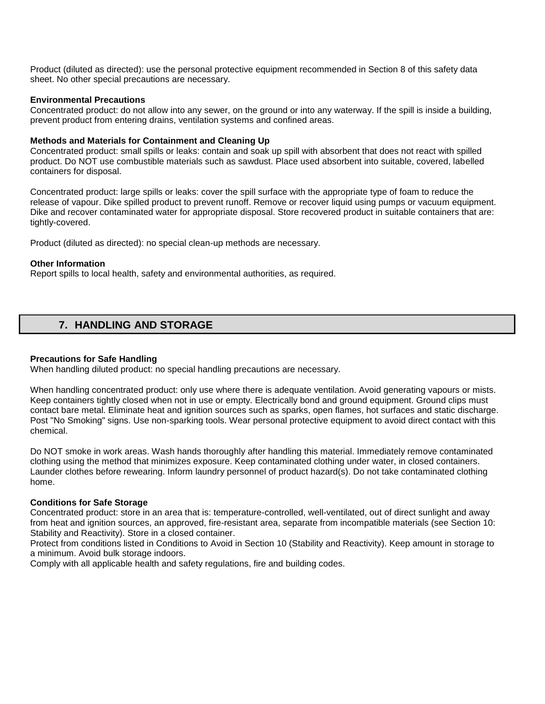Product (diluted as directed): use the personal protective equipment recommended in Section 8 of this safety data sheet. No other special precautions are necessary.

#### **Environmental Precautions**

Concentrated product: do not allow into any sewer, on the ground or into any waterway. If the spill is inside a building, prevent product from entering drains, ventilation systems and confined areas.

#### **Methods and Materials for Containment and Cleaning Up**

Concentrated product: small spills or leaks: contain and soak up spill with absorbent that does not react with spilled product. Do NOT use combustible materials such as sawdust. Place used absorbent into suitable, covered, labelled containers for disposal.

Concentrated product: large spills or leaks: cover the spill surface with the appropriate type of foam to reduce the release of vapour. Dike spilled product to prevent runoff. Remove or recover liquid using pumps or vacuum equipment. Dike and recover contaminated water for appropriate disposal. Store recovered product in suitable containers that are: tightly-covered.

Product (diluted as directed): no special clean-up methods are necessary.

#### **Other Information**

Report spills to local health, safety and environmental authorities, as required.

# **7. HANDLING AND STORAGE**

#### **Precautions for Safe Handling**

When handling diluted product: no special handling precautions are necessary.

When handling concentrated product: only use where there is adequate ventilation. Avoid generating vapours or mists. Keep containers tightly closed when not in use or empty. Electrically bond and ground equipment. Ground clips must contact bare metal. Eliminate heat and ignition sources such as sparks, open flames, hot surfaces and static discharge. Post "No Smoking" signs. Use non-sparking tools. Wear personal protective equipment to avoid direct contact with this chemical.

Do NOT smoke in work areas. Wash hands thoroughly after handling this material. Immediately remove contaminated clothing using the method that minimizes exposure. Keep contaminated clothing under water, in closed containers. Launder clothes before rewearing. Inform laundry personnel of product hazard(s). Do not take contaminated clothing home.

## **Conditions for Safe Storage**

Concentrated product: store in an area that is: temperature-controlled, well-ventilated, out of direct sunlight and away from heat and ignition sources, an approved, fire-resistant area, separate from incompatible materials (see Section 10: Stability and Reactivity). Store in a closed container.

Protect from conditions listed in Conditions to Avoid in Section 10 (Stability and Reactivity). Keep amount in storage to a minimum. Avoid bulk storage indoors.

Comply with all applicable health and safety regulations, fire and building codes.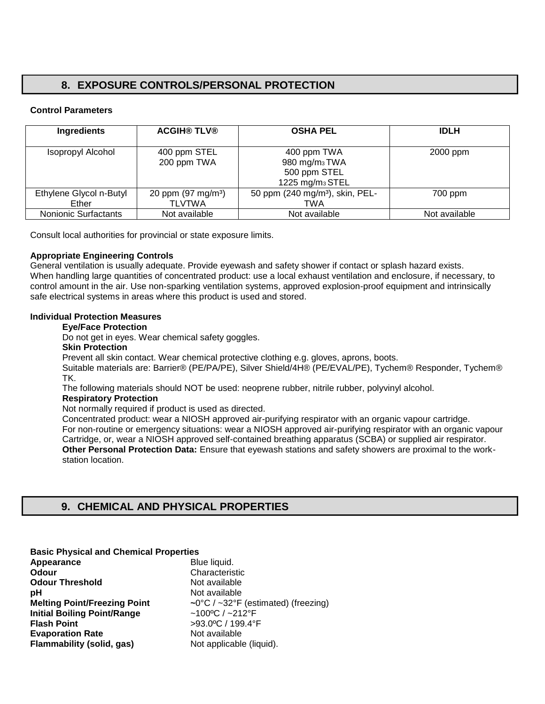# **8. EXPOSURE CONTROLS/PERSONAL PROTECTION**

## **Control Parameters**

| <b>Ingredients</b>               | <b>ACGIH® TLV®</b>                              | <b>OSHA PEL</b>                                                                         | <b>IDLH</b>   |
|----------------------------------|-------------------------------------------------|-----------------------------------------------------------------------------------------|---------------|
| Isopropyl Alcohol                | 400 ppm STEL<br>200 ppm TWA                     | 400 ppm TWA<br>980 mg/m <sub>3</sub> TWA<br>500 ppm STEL<br>1225 mg/m <sub>3</sub> STEL | 2000 ppm      |
| Ethylene Glycol n-Butyl<br>Ether | 20 ppm (97 mg/m <sup>3</sup> )<br><b>TLVTWA</b> | 50 ppm (240 mg/m <sup>3</sup> ), skin, PEL-<br>TWA                                      | 700 ppm       |
| Nonionic Surfactants             | Not available                                   | Not available                                                                           | Not available |

Consult local authorities for provincial or state exposure limits.

## **Appropriate Engineering Controls**

General ventilation is usually adequate. Provide eyewash and safety shower if contact or splash hazard exists. When handling large quantities of concentrated product: use a local exhaust ventilation and enclosure, if necessary, to control amount in the air. Use non-sparking ventilation systems, approved explosion-proof equipment and intrinsically safe electrical systems in areas where this product is used and stored.

## **Individual Protection Measures**

## **Eye/Face Protection**

Do not get in eyes. Wear chemical safety goggles.

#### **Skin Protection**

Prevent all skin contact. Wear chemical protective clothing e.g. gloves, aprons, boots.

Suitable materials are: Barrier® (PE/PA/PE), Silver Shield/4H® (PE/EVAL/PE), Tychem® Responder, Tychem® TK.

The following materials should NOT be used: neoprene rubber, nitrile rubber, polyvinyl alcohol.

## **Respiratory Protection**

Not normally required if product is used as directed.

Concentrated product: wear a NIOSH approved air-purifying respirator with an organic vapour cartridge. For non-routine or emergency situations: wear a NIOSH approved air-purifying respirator with an organic vapour Cartridge, or, wear a NIOSH approved self-contained breathing apparatus (SCBA) or supplied air respirator. **Other Personal Protection Data:** Ensure that eyewash stations and safety showers are proximal to the workstation location.

## **9. CHEMICAL AND PHYSICAL PROPERTIES**

## **Basic Physical and Chemical Properties**

| Appearance                          | Blue liquid.                        |
|-------------------------------------|-------------------------------------|
| Odour                               | Characteristic                      |
| <b>Odour Threshold</b>              | Not available                       |
| рH                                  | Not available                       |
| <b>Melting Point/Freezing Point</b> | ~0°C / ~32°F (estimated) (freezing) |
| <b>Initial Boiling Point/Range</b>  | $~100^{\circ}$ C / $~212^{\circ}$ F |
| <b>Flash Point</b>                  | >93.0°C / 199.4°F                   |
| <b>Evaporation Rate</b>             | Not available                       |
| <b>Flammability (solid, gas)</b>    | Not applicable (liquid).            |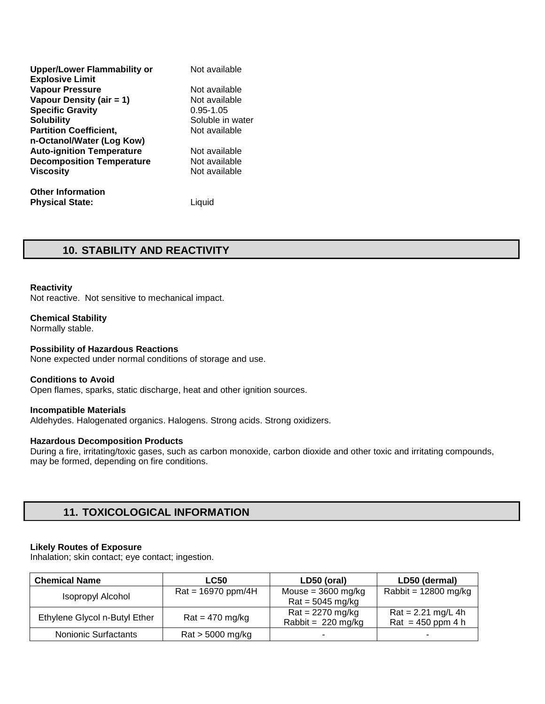| <b>Upper/Lower Flammability or</b> | Not available    |
|------------------------------------|------------------|
| <b>Explosive Limit</b>             |                  |
| <b>Vapour Pressure</b>             | Not available    |
| Vapour Density (air = 1)           | Not available    |
| <b>Specific Gravity</b>            | $0.95 - 1.05$    |
| <b>Solubility</b>                  | Soluble in water |
| <b>Partition Coefficient,</b>      | Not available    |
| n-Octanol/Water (Log Kow)          |                  |
| <b>Auto-ignition Temperature</b>   | Not available    |
| <b>Decomposition Temperature</b>   | Not available    |
| <b>Viscosity</b>                   | Not available    |
|                                    |                  |

**Other Information Physical State:** Liquid

## **10. STABILITY AND REACTIVITY**

#### **Reactivity**

Not reactive. Not sensitive to mechanical impact.

## **Chemical Stability**

Normally stable.

## **Possibility of Hazardous Reactions**

None expected under normal conditions of storage and use.

#### **Conditions to Avoid**

Open flames, sparks, static discharge, heat and other ignition sources.

## **Incompatible Materials**

Aldehydes. Halogenated organics. Halogens. Strong acids. Strong oxidizers.

## **Hazardous Decomposition Products**

During a fire, irritating/toxic gases, such as carbon monoxide, carbon dioxide and other toxic and irritating compounds, may be formed, depending on fire conditions.

## **11. TOXICOLOGICAL INFORMATION**

#### **Likely Routes of Exposure**

Inhalation; skin contact; eye contact; ingestion.

| <b>Chemical Name</b>          | <b>LC50</b>          | LD50 (oral)                  | LD50 (dermal)          |
|-------------------------------|----------------------|------------------------------|------------------------|
| <b>Isopropyl Alcohol</b>      | $Rat = 16970$ ppm/4H | Mouse = $3600$ mg/kg         | Rabbit = $12800$ mg/kg |
|                               |                      | $Rat = 5045$ mg/kg           |                        |
| Ethylene Glycol n-Butyl Ether | $Rat = 470$ mg/kg    | $Rat = 2270$ mg/kg           | $Rat = 2.21$ mg/L 4h   |
|                               |                      | Rabbit = $220 \text{ mg/kg}$ | Rat = $450$ ppm 4 h    |
| <b>Nonionic Surfactants</b>   | $Rat > 5000$ mg/kg   |                              | -                      |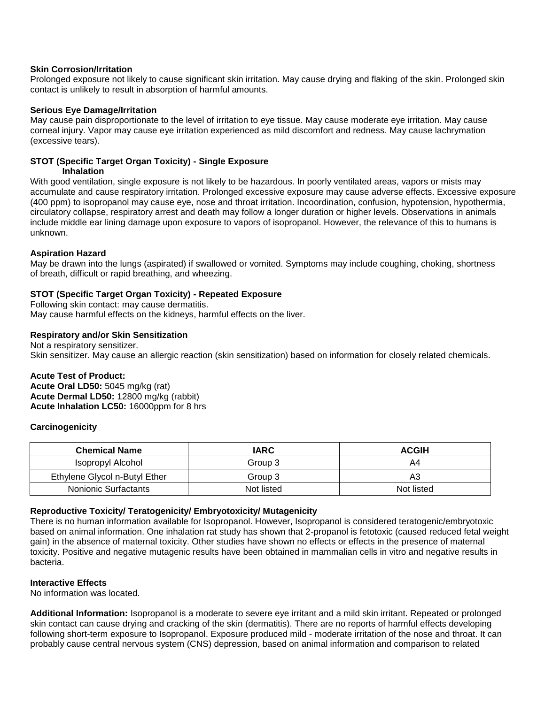## **Skin Corrosion/Irritation**

Prolonged exposure not likely to cause significant skin irritation. May cause drying and flaking of the skin. Prolonged skin contact is unlikely to result in absorption of harmful amounts.

## **Serious Eye Damage/Irritation**

May cause pain disproportionate to the level of irritation to eye tissue. May cause moderate eye irritation. May cause corneal injury. Vapor may cause eye irritation experienced as mild discomfort and redness. May cause lachrymation (excessive tears).

## **STOT (Specific Target Organ Toxicity) - Single Exposure**

## **Inhalation**

With good ventilation, single exposure is not likely to be hazardous. In poorly ventilated areas, vapors or mists may accumulate and cause respiratory irritation. Prolonged excessive exposure may cause adverse effects. Excessive exposure (400 ppm) to isopropanol may cause eye, nose and throat irritation. Incoordination, confusion, hypotension, hypothermia, circulatory collapse, respiratory arrest and death may follow a longer duration or higher levels. Observations in animals include middle ear lining damage upon exposure to vapors of isopropanol. However, the relevance of this to humans is unknown.

## **Aspiration Hazard**

May be drawn into the lungs (aspirated) if swallowed or vomited. Symptoms may include coughing, choking, shortness of breath, difficult or rapid breathing, and wheezing.

## **STOT (Specific Target Organ Toxicity) - Repeated Exposure**

Following skin contact: may cause dermatitis. May cause harmful effects on the kidneys, harmful effects on the liver.

## **Respiratory and/or Skin Sensitization**

Not a respiratory sensitizer. Skin sensitizer. May cause an allergic reaction (skin sensitization) based on information for closely related chemicals.

## **Acute Test of Product:**

**Acute Oral LD50:** 5045 mg/kg (rat) **Acute Dermal LD50:** 12800 mg/kg (rabbit) **Acute Inhalation LC50:** 16000ppm for 8 hrs

## **Carcinogenicity**

| <b>Chemical Name</b>          | <b>IARC</b> | <b>ACGIH</b> |
|-------------------------------|-------------|--------------|
| Isopropyl Alcohol             | Group 3     | A4           |
| Ethylene Glycol n-Butyl Ether | Group 3     | A3           |
| Nonionic Surfactants          | Not listed  | Not listed   |

## **Reproductive Toxicity/ Teratogenicity/ Embryotoxicity/ Mutagenicity**

There is no human information available for Isopropanol. However, Isopropanol is considered teratogenic/embryotoxic based on animal information. One inhalation rat study has shown that 2-propanol is fetotoxic (caused reduced fetal weight gain) in the absence of maternal toxicity. Other studies have shown no effects or effects in the presence of maternal toxicity. Positive and negative mutagenic results have been obtained in mammalian cells in vitro and negative results in bacteria.

## **Interactive Effects**

No information was located.

**Additional Information:** Isopropanol is a moderate to severe eye irritant and a mild skin irritant. Repeated or prolonged skin contact can cause drying and cracking of the skin (dermatitis). There are no reports of harmful effects developing following short-term exposure to Isopropanol. Exposure produced mild - moderate irritation of the nose and throat. It can probably cause central nervous system (CNS) depression, based on animal information and comparison to related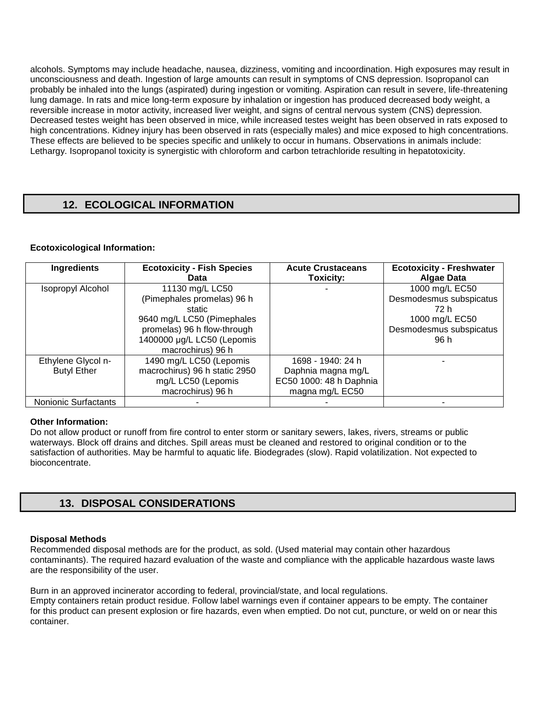alcohols. Symptoms may include headache, nausea, dizziness, vomiting and incoordination. High exposures may result in unconsciousness and death. Ingestion of large amounts can result in symptoms of CNS depression. Isopropanol can probably be inhaled into the lungs (aspirated) during ingestion or vomiting. Aspiration can result in severe, life-threatening lung damage. In rats and mice long-term exposure by inhalation or ingestion has produced decreased body weight, a reversible increase in motor activity, increased liver weight, and signs of central nervous system (CNS) depression. Decreased testes weight has been observed in mice, while increased testes weight has been observed in rats exposed to high concentrations. Kidney injury has been observed in rats (especially males) and mice exposed to high concentrations. These effects are believed to be species specific and unlikely to occur in humans. Observations in animals include: Lethargy. Isopropanol toxicity is synergistic with chloroform and carbon tetrachloride resulting in hepatotoxicity.

# **12. ECOLOGICAL INFORMATION**

## **Ecotoxicological Information:**

| <b>Ingredients</b>   | <b>Ecotoxicity - Fish Species</b><br>Data | <b>Acute Crustaceans</b><br>Toxicity: | <b>Ecotoxicity - Freshwater</b><br><b>Algae Data</b> |
|----------------------|-------------------------------------------|---------------------------------------|------------------------------------------------------|
| Isopropyl Alcohol    | 11130 mg/L LC50                           |                                       | 1000 mg/L EC50                                       |
|                      | (Pimephales promelas) 96 h                |                                       | Desmodesmus subspicatus                              |
|                      | static                                    |                                       | 72 h                                                 |
|                      | 9640 mg/L LC50 (Pimephales                |                                       | 1000 mg/L EC50                                       |
|                      | promelas) 96 h flow-through               |                                       | Desmodesmus subspicatus                              |
|                      | 1400000 µg/L LC50 (Lepomis                |                                       | 96 h                                                 |
|                      | macrochirus) 96 h                         |                                       |                                                      |
| Ethylene Glycol n-   | 1490 mg/L LC50 (Lepomis                   | 1698 - 1940: 24 h                     |                                                      |
| <b>Butyl Ether</b>   | macrochirus) 96 h static 2950             | Daphnia magna mg/L                    |                                                      |
|                      | mg/L LC50 (Lepomis                        | EC50 1000: 48 h Daphnia               |                                                      |
|                      | macrochirus) 96 h                         | magna mg/L EC50                       |                                                      |
| Nonionic Surfactants |                                           |                                       |                                                      |

## **Other Information:**

Do not allow product or runoff from fire control to enter storm or sanitary sewers, lakes, rivers, streams or public waterways. Block off drains and ditches. Spill areas must be cleaned and restored to original condition or to the satisfaction of authorities. May be harmful to aquatic life. Biodegrades (slow). Rapid volatilization. Not expected to bioconcentrate.

## **13. DISPOSAL CONSIDERATIONS**

## **Disposal Methods**

Recommended disposal methods are for the product, as sold. (Used material may contain other hazardous contaminants). The required hazard evaluation of the waste and compliance with the applicable hazardous waste laws are the responsibility of the user.

Burn in an approved incinerator according to federal, provincial/state, and local regulations. Empty containers retain product residue. Follow label warnings even if container appears to be empty. The container for this product can present explosion or fire hazards, even when emptied. Do not cut, puncture, or weld on or near this container.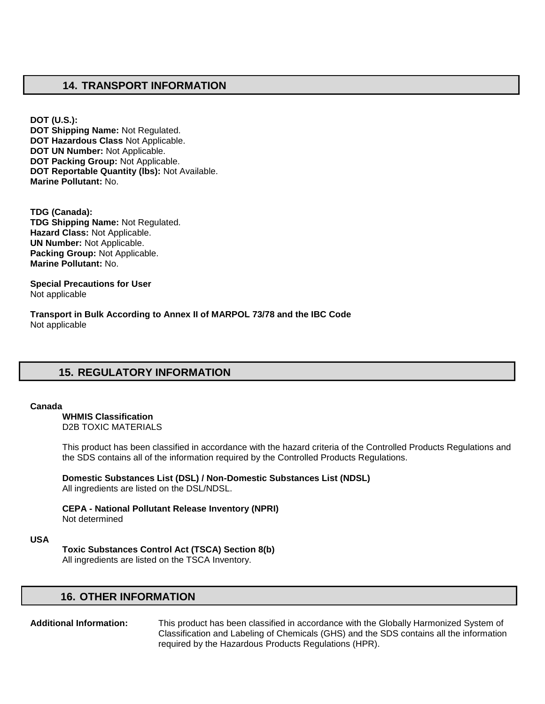## **14. TRANSPORT INFORMATION**

**DOT (U.S.): DOT Shipping Name:** Not Regulated. **DOT Hazardous Class** Not Applicable. **DOT UN Number:** Not Applicable. **DOT Packing Group:** Not Applicable. **DOT Reportable Quantity (lbs):** Not Available. **Marine Pollutant:** No.

**TDG (Canada): TDG Shipping Name:** Not Regulated. **Hazard Class:** Not Applicable. **UN Number:** Not Applicable. **Packing Group:** Not Applicable. **Marine Pollutant:** No.

**Special Precautions for User** Not applicable

**Transport in Bulk According to Annex II of MARPOL 73/78 and the IBC Code**  Not applicable

# **15. REGULATORY INFORMATION**

#### **Canada**

**WHMIS Classification**  D2B TOXIC MATERIALS

This product has been classified in accordance with the hazard criteria of the Controlled Products Regulations and the SDS contains all of the information required by the Controlled Products Regulations.

**Domestic Substances List (DSL) / Non-Domestic Substances List (NDSL)**  All ingredients are listed on the DSL/NDSL.

**CEPA - National Pollutant Release Inventory (NPRI)**  Not determined

## **USA**

**Toxic Substances Control Act (TSCA) Section 8(b)** 

All ingredients are listed on the TSCA Inventory.

## **16. OTHER INFORMATION**

**Additional Information:** This product has been classified in accordance with the Globally Harmonized System of Classification and Labeling of Chemicals (GHS) and the SDS contains all the information required by the Hazardous Products Regulations (HPR).